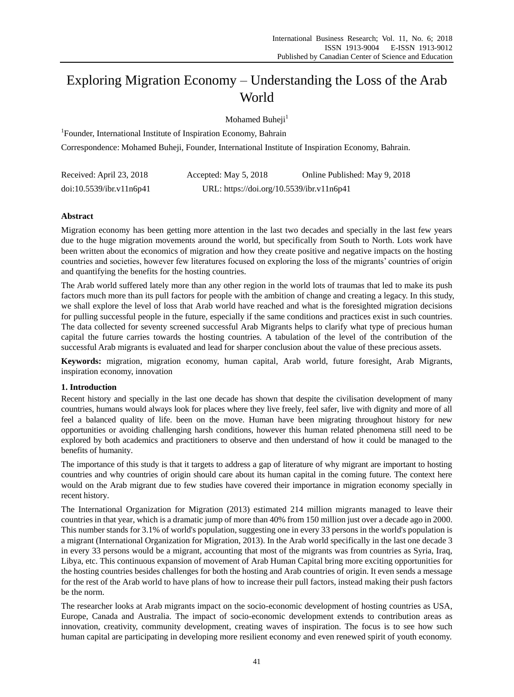# Exploring Migration Economy – Understanding the Loss of the Arab World

Mohamed Buheii<sup>1</sup>

<sup>1</sup>Founder, International Institute of Inspiration Economy, Bahrain Correspondence: Mohamed Buheji, Founder, International Institute of Inspiration Economy, Bahrain.

| Received: April 23, 2018 | Accepted: May 5, 2018                     | Online Published: May 9, 2018 |
|--------------------------|-------------------------------------------|-------------------------------|
| doi:10.5539/ibr.v11n6p41 | URL: https://doi.org/10.5539/ibr.v11n6p41 |                               |

## **Abstract**

Migration economy has been getting more attention in the last two decades and specially in the last few years due to the huge migration movements around the world, but specifically from South to North. Lots work have been written about the economics of migration and how they create positive and negative impacts on the hosting countries and societies, however few literatures focused on exploring the loss of the migrants' countries of origin and quantifying the benefits for the hosting countries.

The Arab world suffered lately more than any other region in the world lots of traumas that led to make its push factors much more than its pull factors for people with the ambition of change and creating a legacy. In this study, we shall explore the level of loss that Arab world have reached and what is the foresighted migration decisions for pulling successful people in the future, especially if the same conditions and practices exist in such countries. The data collected for seventy screened successful Arab Migrants helps to clarify what type of precious human capital the future carries towards the hosting countries. A tabulation of the level of the contribution of the successful Arab migrants is evaluated and lead for sharper conclusion about the value of these precious assets.

**Keywords:** migration, migration economy, human capital, Arab world, future foresight, Arab Migrants, inspiration economy, innovation

### **1. Introduction**

Recent history and specially in the last one decade has shown that despite the civilisation development of many countries, humans would always look for places where they live freely, feel safer, live with dignity and more of all feel a balanced quality of life. been on the move. Human have been migrating throughout history for new opportunities or avoiding challenging harsh conditions, however this human related phenomena still need to be explored by both academics and practitioners to observe and then understand of how it could be managed to the benefits of humanity.

The importance of this study is that it targets to address a gap of literature of why migrant are important to hosting countries and why countries of origin should care about its human capital in the coming future. The context here would on the Arab migrant due to few studies have covered their importance in migration economy specially in recent history.

The International Organization for Migration (2013) estimated 214 million migrants managed to leave their countries in that year, which is a dramatic jump of more than 40% from 150 million just over a decade ago in 2000. This number stands for 3.1% of world's population, suggesting one in every 33 persons in the world's population is a migrant (International Organization for Migration, 2013). In the Arab world specifically in the last one decade 3 in every 33 persons would be a migrant, accounting that most of the migrants was from countries as Syria, Iraq, Libya, etc. This continuous expansion of movement of Arab Human Capital bring more exciting opportunities for the hosting countries besides challenges for both the hosting and Arab countries of origin. It even sends a message for the rest of the Arab world to have plans of how to increase their pull factors, instead making their push factors be the norm.

The researcher looks at Arab migrants impact on the socio-economic development of hosting countries as USA, Europe, Canada and Australia. The impact of socio-economic development extends to contribution areas as innovation, creativity, community development, creating waves of inspiration. The focus is to see how such human capital are participating in developing more resilient economy and even renewed spirit of youth economy.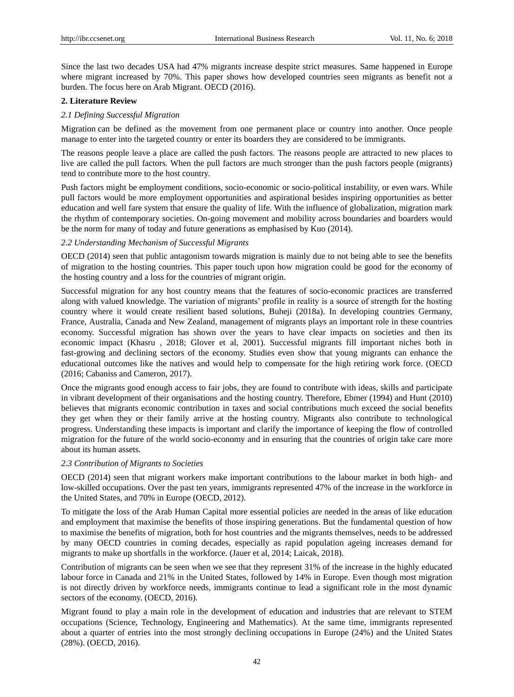Since the last two decades USA had 47% migrants increase despite strict measures. Same happened in Europe where migrant increased by 70%. This paper shows how developed countries seen migrants as benefit not a burden. The focus here on Arab Migrant. OECD (2016).

#### **2. Literature Review**

#### *2.1 Defining Successful Migration*

Migration can be defined as the movement from one permanent place or country into another. Once people manage to enter into the targeted country or enter its boarders they are considered to be [immigrants](http://www.bbc.co.uk/bitesize/ks3/geography/interdependence/population_migration/revision/6/).

The reasons people leave a place are called the [push factors.](http://www.bbc.co.uk/bitesize/ks3/geography/interdependence/population_migration/revision/6/) The reasons people are attracted to new places to live are called the [pull factors.](http://www.bbc.co.uk/bitesize/ks3/geography/interdependence/population_migration/revision/6/) When the pull factors are much stronger than the push factors people (migrants) tend to contribute more to the host country.

Push factors might be employment conditions, socio-economic or socio-political instability, or even wars. While pull factors would be more employment opportunities and aspirational besides inspiring opportunities as better education and well fare system that ensure the quality of life. With the influence of globalization, migration mark the rhythm of contemporary societies. On-going movement and mobility across boundaries and boarders would be the norm for many of today and future generations as emphasised by Kuo (2014).

#### *2.2 Understanding Mechanism of Successful Migrants*

OECD (2014) seen that public antagonism towards migration is mainly due to not being able to see the benefits of migration to the hosting countries. This paper touch upon how migration could be good for the economy of the hosting country and a loss for the countries of migrant origin.

Successful migration for any host country means that the features of socio-economic practices are transferred along with valued knowledge. The variation of migrants' profile in reality is a source of strength for the hosting country where it would create resilient based solutions, Buheji (2018a). In developing countries Germany, France, Australia, Canada and New Zealand, management of migrants plays an important role in these countries economy. Successful migration has shown over the years to have clear impacts on societies and then its economic impact (Khasru , 2018; Glover et al, 2001). Successful migrants fill important niches both in fast-growing and declining sectors of the economy. Studies even show that young migrants can enhance the educational outcomes like the natives and would help to compensate for the high retiring work force. (OECD (2016; Cabaniss and Cameron, 2017).

Once the migrants good enough access to fair jobs, they are found to contribute with ideas, skills and participate in vibrant development of their organisations and the hosting country. Therefore, Ebmer (1994) and Hunt (2010) believes that migrants economic contribution in taxes and social contributions much exceed the social benefits they get when they or their family arrive at the hosting country. Migrants also contribute to technological progress. Understanding these impacts is important and clarify the importance of keeping the flow of controlled migration for the future of the world socio-economy and in ensuring that the countries of origin take care more about its human assets.

#### *2.3 Contribution of Migrants to Societies*

OECD (2014) seen that migrant workers make important contributions to the labour market in both high- and low-skilled occupations. Over the past ten years, immigrants represented 47% of the increase in the workforce in the United States, and 70% in Europe (OECD, 2012).

To mitigate the loss of the Arab Human Capital more essential policies are needed in the areas of like education and employment that maximise the benefits of those inspiring generations. But the fundamental question of how to maximise the benefits of migration, both for host countries and the migrants themselves, needs to be addressed by many OECD countries in coming decades, especially as rapid population ageing increases demand for migrants to make up shortfalls in the workforce. (Jauer et al, 2014; Laicak, 2018).

Contribution of migrants can be seen when we see that they represent 31% of the increase in the highly educated labour force in Canada and 21% in the United States, followed by 14% in Europe. Even though most migration is not directly driven by workforce needs, immigrants continue to lead a significant role in the most dynamic sectors of the economy. (OECD, 2016).

Migrant found to play a main role in the development of education and industries that are relevant to STEM occupations (Science, Technology, Engineering and Mathematics). At the same time, immigrants represented about a quarter of entries into the most strongly declining occupations in Europe (24%) and the United States (28%). (OECD, 2016).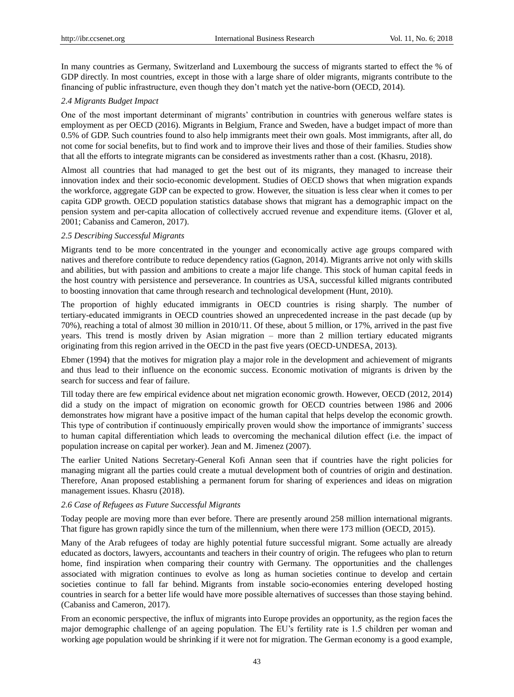In many countries as Germany, Switzerland and Luxembourg the success of migrants started to effect the % of GDP directly. In most countries, except in those with a large share of older migrants, migrants contribute to the financing of public infrastructure, even though they don't match yet the native-born (OECD, 2014).

#### *2.4 Migrants Budget Impact*

One of the most important determinant of migrants' contribution in countries with generous welfare states is employment as per OECD (2016). Migrants in Belgium, France and Sweden, have a budget impact of more than 0.5% of GDP. Such countries found to also help immigrants meet their own goals. Most immigrants, after all, do not come for social benefits, but to find work and to improve their lives and those of their families. Studies show that all the efforts to integrate migrants can be considered as investments rather than a cost. (Khasru, 2018).

Almost all countries that had managed to get the best out of its migrants, they managed to increase their innovation index and their socio-economic development. Studies of OECD shows that when migration expands the workforce, aggregate GDP can be expected to grow. However, the situation is less clear when it comes to per capita GDP growth. OECD population statistics database shows that migrant has a demographic impact on the pension system and per-capita allocation of collectively accrued revenue and expenditure items. (Glover et al, 2001; Cabaniss and Cameron, 2017).

#### *2.5 Describing Successful Migrants*

Migrants tend to be more concentrated in the younger and economically active age groups compared with natives and therefore contribute to reduce dependency ratios (Gagnon, 2014). Migrants arrive not only with skills and abilities, but with passion and ambitions to create a major life change. This stock of human capital feeds in the host country with persistence and perseverance. In countries as USA, successful killed migrants contributed to boosting innovation that came through research and technological development (Hunt, 2010).

The proportion of highly educated immigrants in OECD countries is rising sharply. The number of tertiary-educated immigrants in OECD countries showed an unprecedented increase in the past decade (up by 70%), reaching a total of almost 30 million in 2010/11. Of these, about 5 million, or 17%, arrived in the past five years. This trend is mostly driven by Asian migration – more than 2 million tertiary educated migrants originating from this region arrived in the OECD in the past five years (OECD-UNDESA, 2013).

Ebmer (1994) that the motives for migration play a major role in the development and achievement of migrants and thus lead to their influence on the economic success. Economic motivation of migrants is driven by the search for success and fear of failure.

Till today there are few empirical evidence about net migration economic growth. However, OECD (2012, 2014) did a study on the impact of migration on economic growth for OECD countries between 1986 and 2006 demonstrates how migrant have a positive impact of the human capital that helps develop the economic growth. This type of contribution if continuously empirically proven would show the importance of immigrants' success to human capital differentiation which leads to overcoming the mechanical dilution effect (i.e. the impact of population increase on capital per worker). Jean and M. Jimenez (2007).

The earlier United Nations Secretary-General Kofi Annan seen that if countries have the right policies for managing migrant all the parties could create a mutual development both of countries of origin and destination. Therefore, Anan proposed establishing a permanent forum for sharing of experiences and ideas on migration management issues. Khasru (2018).

#### *2.6 Case of Refugees as Future Successful Migrants*

Today people are moving more than ever before. There are presently around 258 million international migrants. That figure has grown rapidly since the turn of the millennium, when there were 173 million (OECD, 2015).

Many of the Arab refugees of today are highly potential future successful migrant. Some actually are already educated as doctors, lawyers, accountants and teachers in their country of origin. The refugees who plan to return home, find inspiration when comparing their country with Germany. The opportunities and the challenges associated with migration continues to evolve as long as human societies continue to develop and certain societies continue to fall far behind. Migrants from instable socio-economies entering developed hosting countries in search for a better life would have more possible alternatives of successes than those staying behind. (Cabaniss and Cameron, 2017).

From an economic perspective, the influx of migrants into Europe provides an opportunity, as the region faces the major demographic challenge of an ageing population. The EU's fertility rate is 1.5 children per woman and working age population would be shrinking if it were not for migration. The German economy is a good example,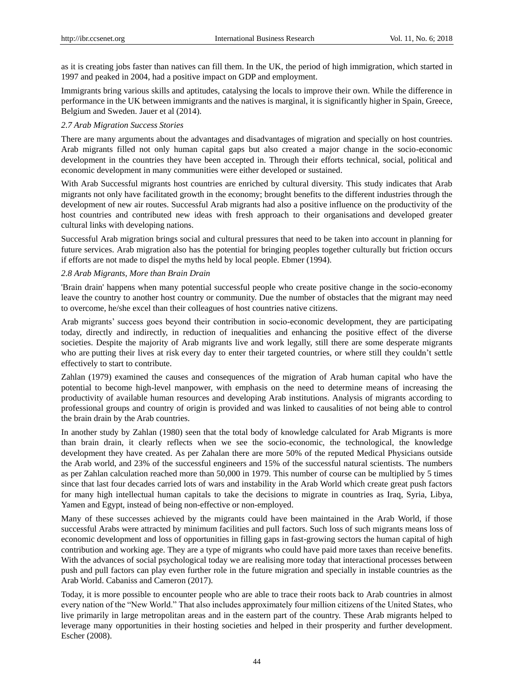as it is creating jobs faster than natives can fill them. In the UK, the period of high immigration, which started in 1997 and peaked in 2004, had a positive impact on GDP and employment.

Immigrants bring various skills and aptitudes, catalysing the locals to improve their own. While the difference in performance in the UK between immigrants and the natives is marginal, it is significantly higher in Spain, Greece, Belgium and Sweden. Jauer et al (2014).

#### *2.7 Arab Migration Success Stories*

There are many arguments about the advantages and disadvantages of migration and specially on host countries. Arab migrants filled not only human capital gaps but also created a major change in the socio-economic development in the countries they have been accepted in. Through their efforts technical, social, political and economic development in many communities were either developed or sustained.

With Arab Successful migrants host countries are enriched by cultural diversity. This study indicates that Arab migrants not only have facilitated growth in the economy; brought benefits to the different industries through the development of new air routes. Successful Arab migrants had also a positive influence on the productivity of the host countries and contributed new ideas with fresh approach to their organisations and developed greater cultural links with developing nations.

Successful Arab migration brings social and cultural pressures that need to be taken into account in planning for future services. Arab migration also has the potential for bringing peoples together culturally but friction occurs if efforts are not made to dispel the myths held by local people. Ebmer (1994).

#### *2.8 Arab Migrants, More than Brain Drain*

'Brain drain' happens when many potential successful people who create positive change in the socio-economy leave the country to another host country or community. Due the number of obstacles that the migrant may need to overcome, he/she excel than their colleagues of host countries native citizens.

Arab migrants' success goes beyond their contribution in socio-economic development, they are participating today, directly and indirectly, in reduction of inequalities and enhancing the positive effect of the diverse societies. Despite the majority of Arab migrants live and work legally, still there are some desperate migrants who are [putting their lives at risk](https://www.theguardian.com/commentisfree/2017/dec/20/aid-drowning-migrants-criminal-activists-ngo-witness-brutal-border-policing) every day to enter their targeted countries, or where still they couldn't settle effectively to start to contribute.

Zahlan (1979) examined the causes and consequences of the migration of Arab human capital who have the potential to become high-level manpower, with emphasis on the need to determine means of increasing the productivity of available human resources and developing Arab institutions. Analysis of migrants according to professional groups and country of origin is provided and was linked to causalities of not being able to control the brain drain by the Arab countries.

In another study by Zahlan (1980) seen that the total body of knowledge calculated for Arab Migrants is more than brain drain, it clearly reflects when we see the socio-economic, the technological, the knowledge development they have created. As per Zahalan there are more 50% of the reputed Medical Physicians outside the Arab world, and 23% of the successful engineers and 15% of the successful natural scientists. The numbers as per Zahlan calculation reached more than 50,000 in 1979. This number of course can be multiplied by 5 times since that last four decades carried lots of wars and instability in the Arab World which create great push factors for many high intellectual human capitals to take the decisions to migrate in countries as Iraq, Syria, Libya, Yamen and Egypt, instead of being non-effective or non-employed.

Many of these successes achieved by the migrants could have been maintained in the Arab World, if those successful Arabs were attracted by minimum facilities and pull factors. Such loss of such migrants means loss of economic development and loss of opportunities in filling gaps in fast-growing sectors the human capital of high contribution and working age. They are a type of migrants who could have paid more taxes than receive benefits. With the advances of social psychological today we are realising more today that interactional processes between push and pull factors can play even further role in the future migration and specially in instable countries as the Arab World. Cabaniss and Cameron (2017).

Today, it is more possible to encounter people who are able to trace their roots back to Arab countries in almost every nation of the "New World." That also includes approximately four million citizens of the United States, who live primarily in large metropolitan areas and in the eastern part of the country. These Arab migrants helped to leverage many opportunities in their hosting societies and helped in their prosperity and further development. Escher (2008).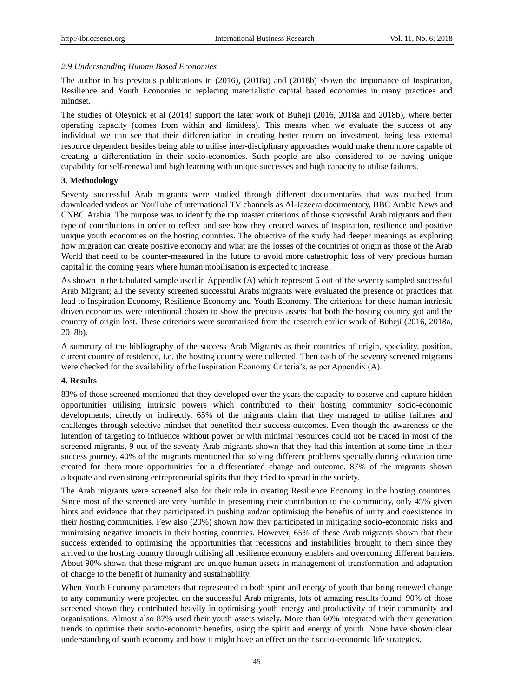#### *2.9 Understanding Human Based Economies*

The author in his previous publications in (2016), (2018a) and (2018b) shown the importance of Inspiration, Resilience and Youth Economies in replacing materialistic capital based economies in many practices and mindset.

The studies of Oleynick et al (2014) support the later work of Buheji (2016, 2018a and 2018b), where better operating capacity (comes from within and limitless). This means when we evaluate the success of any individual we can see that their differentiation in creating better return on investment, being less external resource dependent besides being able to utilise inter-disciplinary approaches would make them more capable of creating a differentiation in their socio-economies. Such people are also considered to be having unique capability for self-renewal and high learning with unique successes and high capacity to utilise failures.

#### **3. Methodology**

Seventy successful Arab migrants were studied through different documentaries that was reached from downloaded videos on YouTube of international TV channels as Al-Jazeera documentary, BBC Arabic News and CNBC Arabia. The purpose was to identify the top master criterions of those successful Arab migrants and their type of contributions in order to reflect and see how they created waves of inspiration, resilience and positive unique youth economies on the hosting countries. The objective of the study had deeper meanings as exploring how migration can create positive economy and what are the losses of the countries of origin as those of the Arab World that need to be counter-measured in the future to avoid more catastrophic loss of very precious human capital in the coming years where human mobilisation is expected to increase.

As shown in the tabulated sample used in Appendix (A) which represent 6 out of the seventy sampled successful Arab Migrant; all the seventy screened successful Arabs migrants were evaluated the presence of practices that lead to Inspiration Economy, Resilience Economy and Youth Economy. The criterions for these human intrinsic driven economies were intentional chosen to show the precious assets that both the hosting country got and the country of origin lost. These criterions were summarised from the research earlier work of Buheji (2016, 2018a, 2018b).

A summary of the bibliography of the success Arab Migrants as their countries of origin, speciality, position, current country of residence, i.e. the hosting country were collected. Then each of the seventy screened migrants were checked for the availability of the Inspiration Economy Criteria's, as per Appendix (A).

#### **4. Results**

83% of those screened mentioned that they developed over the years the capacity to observe and capture hidden opportunities utilising intrinsic powers which contributed to their hosting community socio-economic developments, directly or indirectly. 65% of the migrants claim that they managed to utilise failures and challenges through selective mindset that benefited their success outcomes. Even though the awareness or the intention of targeting to influence without power or with minimal resources could not be traced in most of the screened migrants, 9 out of the seventy Arab migrants shown that they had this intention at some time in their success journey. 40% of the migrants mentioned that solving different problems specially during education time created for them more opportunities for a differentiated change and outcome. 87% of the migrants shown adequate and even strong entrepreneurial spirits that they tried to spread in the society.

The Arab migrants were screened also for their role in creating Resilience Economy in the hosting countries. Since most of the screened are very humble in presenting their contribution to the community, only 45% given hints and evidence that they participated in pushing and/or optimising the benefits of unity and coexistence in their hosting communities. Few also (20%) shown how they participated in mitigating socio-economic risks and minimising negative impacts in their hosting countries. However, 65% of these Arab migrants shown that their success extended to optimising the opportunities that recessions and instabilities brought to them since they arrived to the hosting country through utilising all resilience economy enablers and overcoming different barriers. About 90% shown that these migrant are unique human assets in management of transformation and adaptation of change to the benefit of humanity and sustainability.

When Youth Economy parameters that represented in both spirit and energy of youth that bring renewed change to any community were projected on the successful Arab migrants, lots of amazing results found. 90% of those screened shown they contributed heavily in optimising youth energy and productivity of their community and organisations. Almost also 87% used their youth assets wisely. More than 60% integrated with their generation trends to optimise their socio-economic benefits, using the spirit and energy of youth. None have shown clear understanding of south economy and how it might have an effect on their socio-economic life strategies.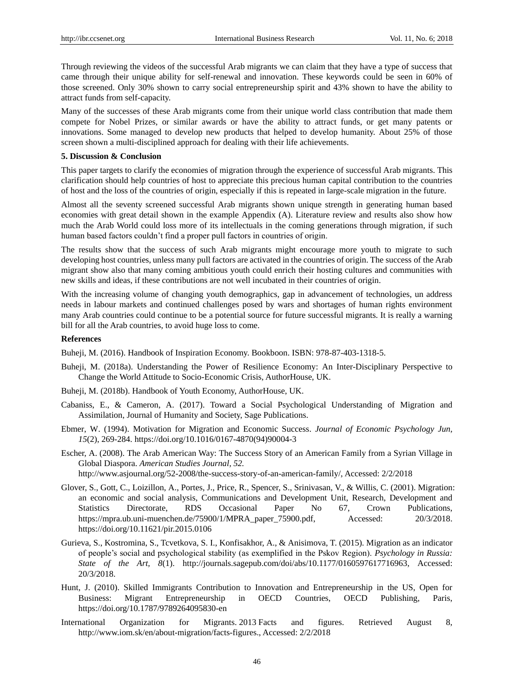Through reviewing the videos of the successful Arab migrants we can claim that they have a type of success that came through their unique ability for self-renewal and innovation. These keywords could be seen in 60% of those screened. Only 30% shown to carry social entrepreneurship spirit and 43% shown to have the ability to attract funds from self-capacity.

Many of the successes of these Arab migrants come from their unique world class contribution that made them compete for Nobel Prizes, or similar awards or have the ability to attract funds, or get many patents or innovations. Some managed to develop new products that helped to develop humanity. About 25% of those screen shown a multi-disciplined approach for dealing with their life achievements.

#### **5. Discussion & Conclusion**

This paper targets to clarify the economies of migration through the experience of successful Arab migrants. This clarification should help countries of host to appreciate this precious human capital contribution to the countries of host and the loss of the countries of origin, especially if this is repeated in large-scale migration in the future.

Almost all the seventy screened successful Arab migrants shown unique strength in generating human based economies with great detail shown in the example Appendix (A). Literature review and results also show how much the Arab World could loss more of its intellectuals in the coming generations through migration, if such human based factors couldn't find a proper pull factors in countries of origin.

The results show that the success of such Arab migrants might encourage more youth to migrate to such developing host countries, unless many pull factors are activated in the countries of origin. The success of the Arab migrant show also that many coming ambitious youth could enrich their hosting cultures and communities with new skills and ideas, if these contributions are not well incubated in their countries of origin.

With the increasing volume of changing youth demographics, gap in advancement of technologies, un address needs in labour markets and continued challenges posed by wars and shortages of human rights environment many Arab countries could continue to be a potential source for future successful migrants. It is really a warning bill for all the Arab countries, to avoid huge loss to come.

#### **References**

Buheji, M. (2016). Handbook of Inspiration Economy. Bookboon. ISBN: 978-87-403-1318-5.

- Buheji, M. (2018a). Understanding the Power of Resilience Economy: An Inter-Disciplinary Perspective to Change the World Attitude to Socio-Economic Crisis, AuthorHouse, UK.
- Buheji, M. (2018b). Handbook of Youth Economy, AuthorHouse, UK.
- Cabaniss, E., & Cameron, A. (2017). Toward a Social Psychological Understanding of Migration and Assimilation, Journal of Humanity and Society, Sage Publications.
- Ebmer, W. (1994). Motivation for Migration and Economic Success. *Journal of Economic Psychology Jun, 15*(2), 269-284. https://doi.org/10.1016/0167-4870(94)90004-3
- Escher, A. (2008). The Arab American Way: The Success Story of an American Family from a Syrian Village in Global Diaspora. *American Studies Journal, 52.*

[http://www.asjournal.org/52-2008/the-success-story-of-an-american-family/,](http://www.asjournal.org/52-2008/the-success-story-of-an-american-family/) Accessed: 2/2/2018

- Glover, S., Gott, C., Loizillon, A., Portes, J., Price, R., Spencer, S., Srinivasan, V., & Willis, C. (2001). Migration: an economic and social analysis, Communications and Development Unit, Research, Development and Statistics Directorate, RDS Occasional Paper No 67, Crown Publications, [https://mpra.ub.uni-muenchen.de/75900/1/MPRA\\_paper\\_75900.pdf,](https://mpra.ub.uni-muenchen.de/75900/1/MPRA_paper_75900.pdf) Accessed: 20/3/2018. https://doi.org/10.11621/pir.2015.0106
- Gurieva, S., Kostromina, S., Tcvetkova, S. I., Konfisakhor, A., & Anisimova, T. (2015). Migration as an indicator of people's social and psychological stability (as exemplified in the Pskov Region). *Psychology in Russia: State of the Art, 8*(1). [http://journals.sagepub.com/doi/abs/10.1177/0160597617716963,](http://journals.sagepub.com/doi/abs/10.1177/0160597617716963) Accessed: 20/3/2018.
- Hunt, J. (2010). Skilled Immigrants Contribution to Innovation and Entrepreneurship in the US, Open for Business: Migrant Entrepreneurship in OECD Countries, OECD Publishing, Paris, https://doi.org/10.1787/9789264095830-en
- International Organization for Migrants. 2013 Facts and figures. Retrieved August 8, [http://www.iom.sk/en/about-migration/facts-figures.](http://www.iom.sk/en/about-migration/facts-figures), Accessed: 2/2/2018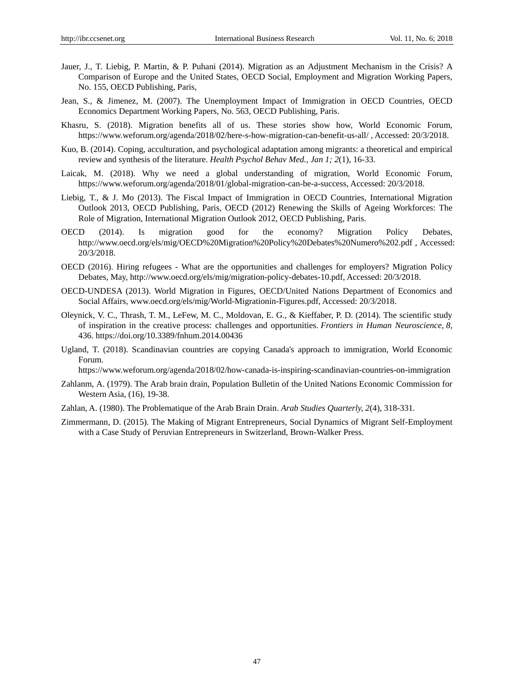- Jauer, J., T. Liebig, P. Martin, & P. Puhani (2014). Migration as an Adjustment Mechanism in the Crisis? A Comparison of Europe and the United States, OECD Social, Employment and Migration Working Papers, No. 155, OECD Publishing, Paris,
- Jean, S., & Jimenez, M. (2007). The Unemployment Impact of Immigration in OECD Countries, OECD Economics Department Working Papers, No. 563, OECD Publishing, Paris.
- Khasru, S. (2018). Migration benefits all of us. These stories show how, World Economic Forum, <https://www.weforum.org/agenda/2018/02/here-s-how-migration-can-benefit-us-all/> , Accessed: 20/3/2018.
- Kuo, B. (2014). Coping, acculturation, and psychological adaptation among migrants: a theoretical and empirical review and synthesis of the literature. *[Health Psychol Behav Med.,](https://www.ncbi.nlm.nih.gov/pmc/articles/PMC4346023/) Jan 1; 2*(1), 16-33.
- Laicak, M. (2018). Why we need a global understanding of migration, World Economic Forum, [https://www.weforum.org/agenda/2018/01/global-migration-can-be-a-success,](https://www.weforum.org/agenda/2018/01/global-migration-can-be-a-success) Accessed: 20/3/2018.
- Liebig, T., & J. Mo (2013). The Fiscal Impact of Immigration in OECD Countries, International Migration Outlook 2013, OECD Publishing, Paris, OECD (2012) Renewing the Skills of Ageing Workforces: The Role of Migration, International Migration Outlook 2012, OECD Publishing, Paris.
- OECD (2014). Is migration good for the economy? Migration Policy Debates, <http://www.oecd.org/els/mig/OECD%20Migration%20Policy%20Debates%20Numero%202.pdf> , Accessed: 20/3/2018.
- OECD (2016). Hiring refugees What are the opportunities and challenges for employers? Migration Policy Debates, May, [http://www.oecd.org/els/mig/migration-policy-debates-10.pdf,](http://www.oecd.org/els/mig/migration-policy-debates-10.pdf) Accessed: 20/3/2018.
- OECD-UNDESA (2013). World Migration in Figures, OECD/United Nations Department of Economics and Social Affairs, [www.oecd.org/els/mig/World-Migrationin-Figures.pdf,](http://www.oecd.org/els/mig/World-Migrationin-Figures.pdf) Accessed: 20/3/2018.
- Oleynick, V. C., Thrash, T. M., LeFew, M. C., Moldovan, E. G., & Kieffaber, P. D. (2014). The scientific study of inspiration in the creative process: challenges and opportunities. *Frontiers in Human Neuroscience, 8,*  436. https://doi.org/10.3389/fnhum.2014.00436
- Ugland, T. (2018). Scandinavian countries are copying Canada's approach to immigration, World Economic Forum.

<https://www.weforum.org/agenda/2018/02/how-canada-is-inspiring-scandinavian-countries-on-immigration>

- Zahlanm, A. (1979). The Arab brain drain, Population Bulletin of the United Nations Economic Commission for Western Asia, (16), 19-38.
- Zahlan, A. (1980). The Problematique of the Arab Brain Drain. *Arab Studies Quarterly, 2*(4), 318-331.
- Zimmermann, D. (2015). The Making of Migrant Entrepreneurs, Social Dynamics of Migrant Self-Employment with a Case Study of Peruvian Entrepreneurs in Switzerland, Brown-Walker Press.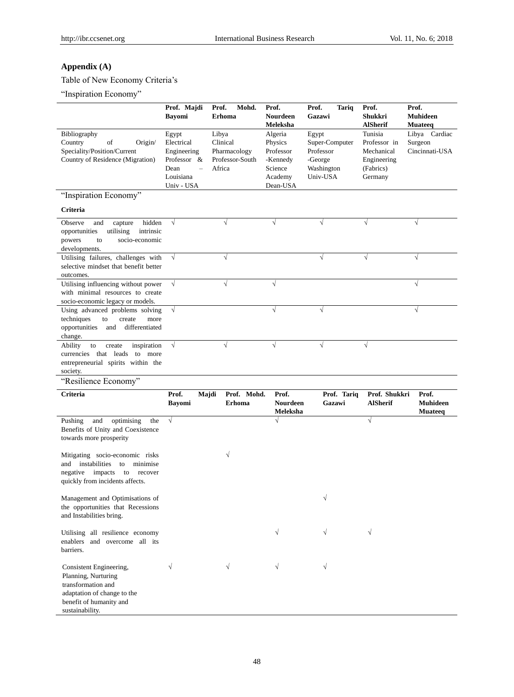## **Appendix (A)**

## Table of New Economy Criteria's

"Inspiration Economy"

|                                                                                                                                                      | Prof. Majdi<br><b>Bayomi</b>                                                                                     | Prof.<br>Mohd.<br>Erhoma                                       | Prof.<br><b>Nourdeen</b><br>Meleksha                                          | Prof.<br><b>Tariq</b><br>Gazawi                                           | Prof.<br>Shukkri<br><b>AlSherif</b>                                          | Prof.<br><b>Muhideen</b><br><b>Muateeq</b> |
|------------------------------------------------------------------------------------------------------------------------------------------------------|------------------------------------------------------------------------------------------------------------------|----------------------------------------------------------------|-------------------------------------------------------------------------------|---------------------------------------------------------------------------|------------------------------------------------------------------------------|--------------------------------------------|
| Bibliography<br>Country<br>of<br>Origin/<br>Speciality/Position/Current<br>Country of Residence (Migration)                                          | Egypt<br>Electrical<br>Engineering<br>Professor &<br>Dean<br>$\overline{\phantom{0}}$<br>Louisiana<br>Univ - USA | Libya<br>Clinical<br>Pharmacology<br>Professor-South<br>Africa | Algeria<br>Physics<br>Professor<br>-Kennedy<br>Science<br>Academy<br>Dean-USA | Egypt<br>Super-Computer<br>Professor<br>-George<br>Washington<br>Univ-USA | Tunisia<br>Professor in<br>Mechanical<br>Engineering<br>(Fabrics)<br>Germany | Libya Cardiac<br>Surgeon<br>Cincinnati-USA |
| "Inspiration Economy"                                                                                                                                |                                                                                                                  |                                                                |                                                                               |                                                                           |                                                                              |                                            |
| Criteria                                                                                                                                             |                                                                                                                  |                                                                |                                                                               |                                                                           |                                                                              |                                            |
| hidden<br>Observe<br>and<br>capture<br>intrinsic<br>opportunities<br>utilising<br>powers<br>socio-economic<br>to<br>developments.                    | $\sqrt{}$                                                                                                        | $\sqrt{}$                                                      | V                                                                             | $\sqrt{}$                                                                 | $\sqrt{}$                                                                    | $\sqrt{}$                                  |
| Utilising failures, challenges with<br>selective mindset that benefit better<br>outcomes.                                                            | $\sqrt{}$                                                                                                        | $\sqrt{}$                                                      |                                                                               | $\sqrt{}$                                                                 | $\sqrt{}$                                                                    | $\sqrt{}$                                  |
| Utilising influencing without power<br>with minimal resources to create<br>socio-economic legacy or models.                                          | $\sqrt{}$                                                                                                        | $\sqrt{}$                                                      | $\sqrt{}$                                                                     |                                                                           |                                                                              | $\sqrt{}$                                  |
| Using advanced problems solving<br>techniques<br>to<br>create<br>more<br>opportunities<br>and<br>differentiated<br>change.                           | $\sqrt{}$                                                                                                        |                                                                | $\sqrt{ }$                                                                    | $\sqrt{}$                                                                 |                                                                              | $\sqrt{}$                                  |
| inspiration<br>Ability<br>to<br>create<br>currencies that leads to more<br>entrepreneurial spirits within the<br>society.<br>"Resilience Economy"    | $\sqrt{}$                                                                                                        | $\sqrt{}$                                                      | $\sqrt{}$                                                                     | $\sqrt{}$                                                                 | $\sqrt{}$                                                                    |                                            |
| Criteria                                                                                                                                             | Prof.<br>Bayomi                                                                                                  | Prof. Mohd.<br>Majdi<br>Erhoma                                 | Prof.<br><b>Nourdeen</b><br>Meleksha                                          | Prof. Tariq<br>Gazawi                                                     | Prof. Shukkri<br><b>AlSherif</b>                                             | Prof.<br><b>Muhideen</b><br><b>Muateeq</b> |
| Pushing<br>and<br>optimising<br>the<br>Benefits of Unity and Coexistence<br>towards more prosperity                                                  | $\sqrt{}$                                                                                                        |                                                                | $\sqrt{}$                                                                     |                                                                           | $\sqrt{}$                                                                    |                                            |
| Mitigating socio-economic risks<br>instabilities<br>minimise<br>and<br>to<br>negative<br>impacts<br>to<br>recover<br>quickly from incidents affects. |                                                                                                                  | V                                                              |                                                                               |                                                                           |                                                                              |                                            |
| Management and Optimisations of<br>the opportunities that Recessions<br>and Instabilities bring.                                                     |                                                                                                                  |                                                                |                                                                               |                                                                           |                                                                              |                                            |
| Utilising all resilience economy<br>enablers and overcome all its<br>barriers.                                                                       |                                                                                                                  |                                                                | $\sqrt{}$                                                                     | √                                                                         | $\sqrt{ }$                                                                   |                                            |
| Consistent Engineering,                                                                                                                              | $\sqrt{}$                                                                                                        | $\sqrt{}$                                                      |                                                                               | $\sqrt{}$                                                                 |                                                                              |                                            |

Planning, Nurturing transformation and adaptation of change to the benefit of humanity and sustainability.